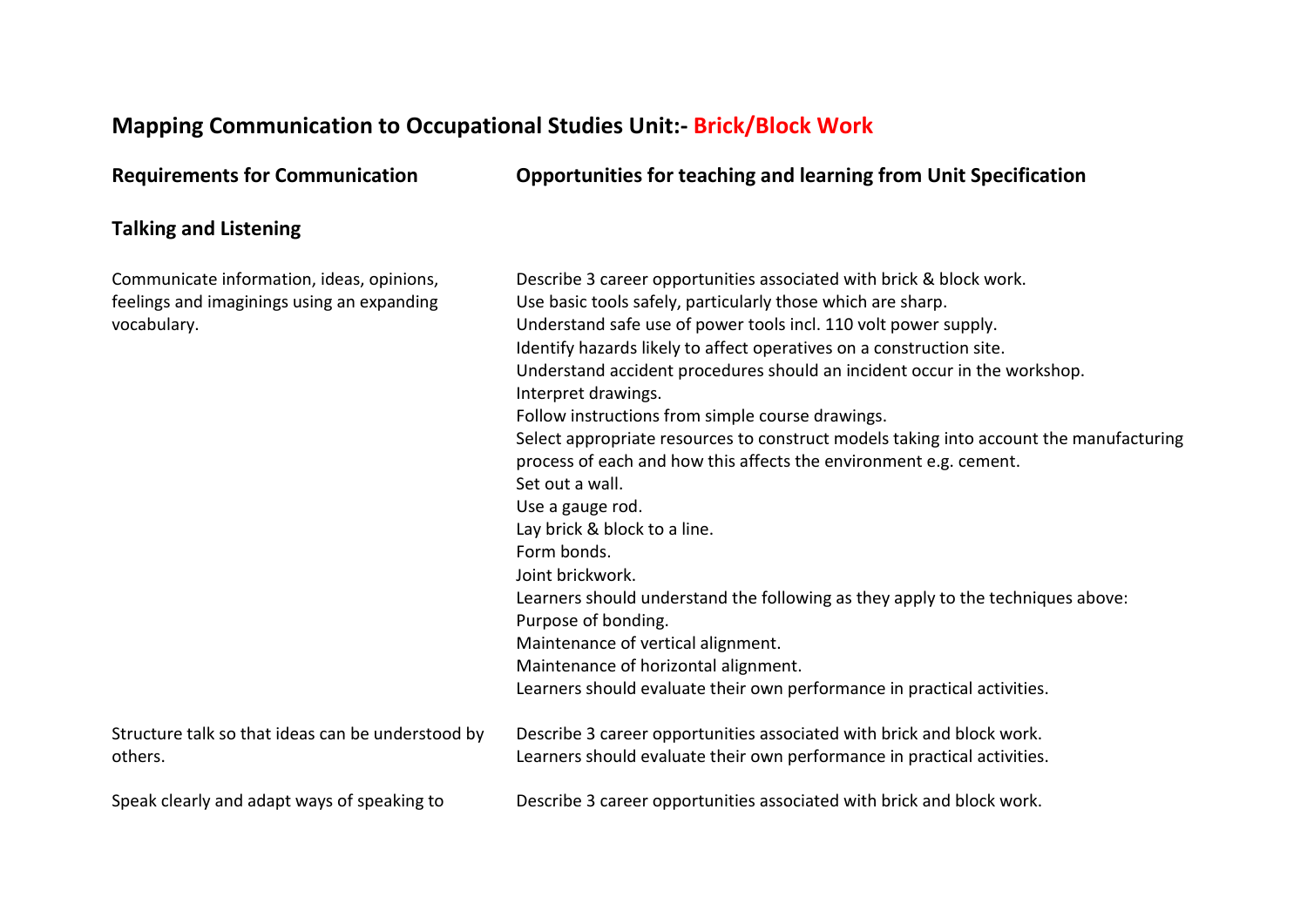## **Mapping Communication to Occupational Studies Unit:- Brick/Block Work**

| <b>Requirements for Communication</b>                                                                  | <b>Opportunities for teaching and learning from Unit Specification</b>                                                                                                                                                                                                                                                                                                                                                                                                                                                                                                                                                                                                                                                                                                                                                                                                                                                                                                           |
|--------------------------------------------------------------------------------------------------------|----------------------------------------------------------------------------------------------------------------------------------------------------------------------------------------------------------------------------------------------------------------------------------------------------------------------------------------------------------------------------------------------------------------------------------------------------------------------------------------------------------------------------------------------------------------------------------------------------------------------------------------------------------------------------------------------------------------------------------------------------------------------------------------------------------------------------------------------------------------------------------------------------------------------------------------------------------------------------------|
| <b>Talking and Listening</b>                                                                           |                                                                                                                                                                                                                                                                                                                                                                                                                                                                                                                                                                                                                                                                                                                                                                                                                                                                                                                                                                                  |
| Communicate information, ideas, opinions,<br>feelings and imaginings using an expanding<br>vocabulary. | Describe 3 career opportunities associated with brick & block work.<br>Use basic tools safely, particularly those which are sharp.<br>Understand safe use of power tools incl. 110 volt power supply.<br>Identify hazards likely to affect operatives on a construction site.<br>Understand accident procedures should an incident occur in the workshop.<br>Interpret drawings.<br>Follow instructions from simple course drawings.<br>Select appropriate resources to construct models taking into account the manufacturing<br>process of each and how this affects the environment e.g. cement.<br>Set out a wall.<br>Use a gauge rod.<br>Lay brick & block to a line.<br>Form bonds.<br>Joint brickwork.<br>Learners should understand the following as they apply to the techniques above:<br>Purpose of bonding.<br>Maintenance of vertical alignment.<br>Maintenance of horizontal alignment.<br>Learners should evaluate their own performance in practical activities. |
| Structure talk so that ideas can be understood by<br>others.                                           | Describe 3 career opportunities associated with brick and block work.<br>Learners should evaluate their own performance in practical activities.                                                                                                                                                                                                                                                                                                                                                                                                                                                                                                                                                                                                                                                                                                                                                                                                                                 |
| Speak clearly and adapt ways of speaking to                                                            | Describe 3 career opportunities associated with brick and block work.                                                                                                                                                                                                                                                                                                                                                                                                                                                                                                                                                                                                                                                                                                                                                                                                                                                                                                            |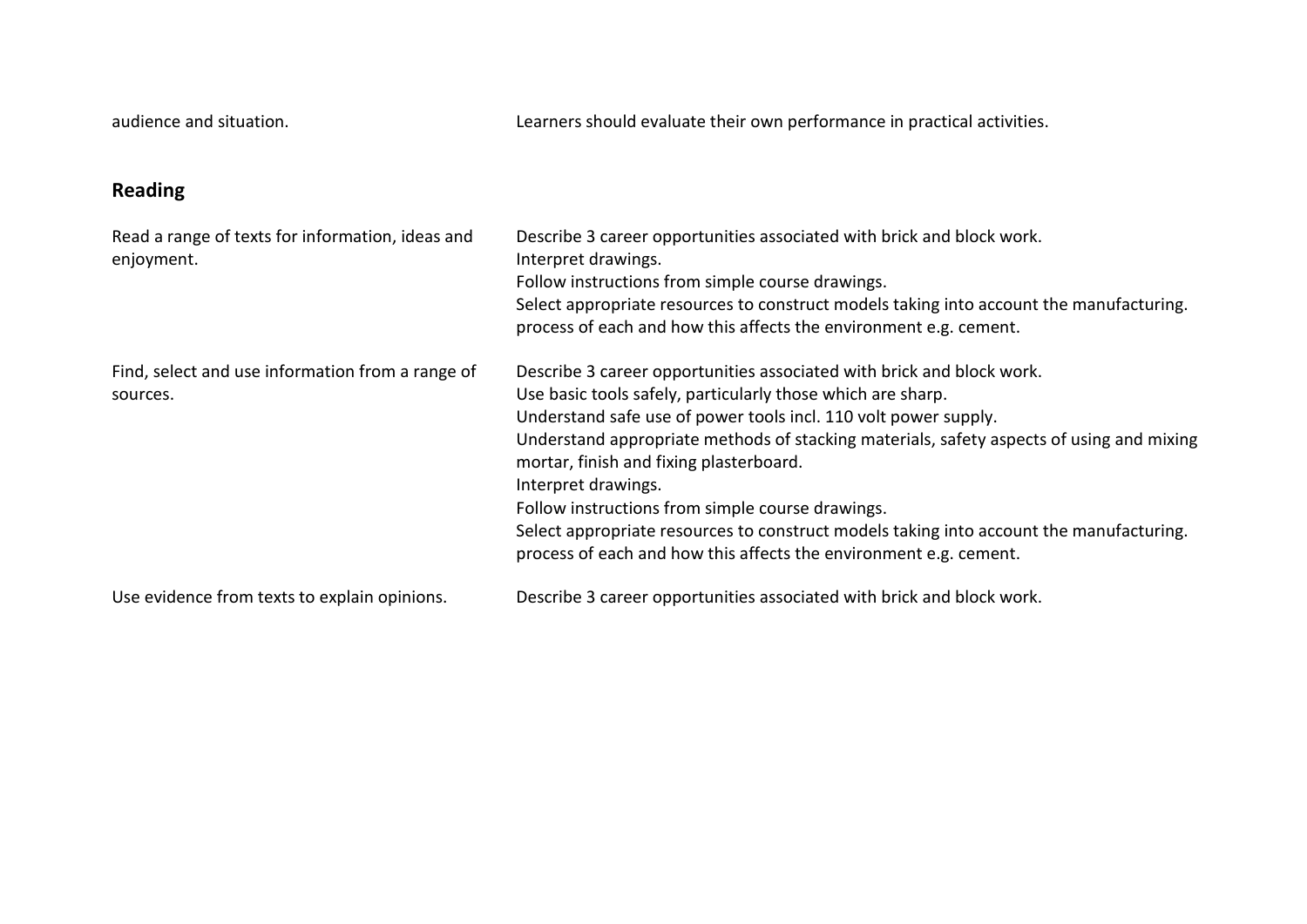audience and situation. Learners should evaluate their own performance in practical activities.

## **Reading**

| Read a range of texts for information, ideas and<br>enjoyment. | Describe 3 career opportunities associated with brick and block work.<br>Interpret drawings.<br>Follow instructions from simple course drawings.<br>Select appropriate resources to construct models taking into account the manufacturing.<br>process of each and how this affects the environment e.g. cement.                                                                                                                                                                                                                                                                          |
|----------------------------------------------------------------|-------------------------------------------------------------------------------------------------------------------------------------------------------------------------------------------------------------------------------------------------------------------------------------------------------------------------------------------------------------------------------------------------------------------------------------------------------------------------------------------------------------------------------------------------------------------------------------------|
| Find, select and use information from a range of<br>sources.   | Describe 3 career opportunities associated with brick and block work.<br>Use basic tools safely, particularly those which are sharp.<br>Understand safe use of power tools incl. 110 volt power supply.<br>Understand appropriate methods of stacking materials, safety aspects of using and mixing<br>mortar, finish and fixing plasterboard.<br>Interpret drawings.<br>Follow instructions from simple course drawings.<br>Select appropriate resources to construct models taking into account the manufacturing.<br>process of each and how this affects the environment e.g. cement. |
| Use evidence from texts to explain opinions.                   | Describe 3 career opportunities associated with brick and block work.                                                                                                                                                                                                                                                                                                                                                                                                                                                                                                                     |